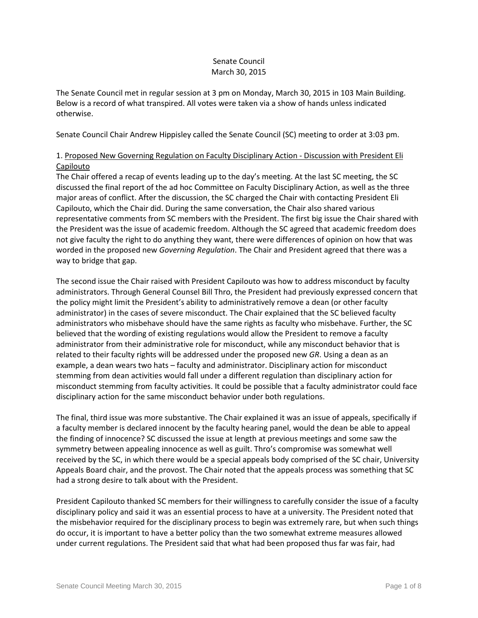## Senate Council March 30, 2015

The Senate Council met in regular session at 3 pm on Monday, March 30, 2015 in 103 Main Building. Below is a record of what transpired. All votes were taken via a show of hands unless indicated otherwise.

Senate Council Chair Andrew Hippisley called the Senate Council (SC) meeting to order at 3:03 pm.

# 1. Proposed New Governing Regulation on Faculty Disciplinary Action - Discussion with President Eli Capilouto

The Chair offered a recap of events leading up to the day's meeting. At the last SC meeting, the SC discussed the final report of the ad hoc Committee on Faculty Disciplinary Action, as well as the three major areas of conflict. After the discussion, the SC charged the Chair with contacting President Eli Capilouto, which the Chair did. During the same conversation, the Chair also shared various representative comments from SC members with the President. The first big issue the Chair shared with the President was the issue of academic freedom. Although the SC agreed that academic freedom does not give faculty the right to do anything they want, there were differences of opinion on how that was worded in the proposed new *Governing Regulation*. The Chair and President agreed that there was a way to bridge that gap.

The second issue the Chair raised with President Capilouto was how to address misconduct by faculty administrators. Through General Counsel Bill Thro, the President had previously expressed concern that the policy might limit the President's ability to administratively remove a dean (or other faculty administrator) in the cases of severe misconduct. The Chair explained that the SC believed faculty administrators who misbehave should have the same rights as faculty who misbehave. Further, the SC believed that the wording of existing regulations would allow the President to remove a faculty administrator from their administrative role for misconduct, while any misconduct behavior that is related to their faculty rights will be addressed under the proposed new *GR*. Using a dean as an example, a dean wears two hats – faculty and administrator. Disciplinary action for misconduct stemming from dean activities would fall under a different regulation than disciplinary action for misconduct stemming from faculty activities. It could be possible that a faculty administrator could face disciplinary action for the same misconduct behavior under both regulations.

The final, third issue was more substantive. The Chair explained it was an issue of appeals, specifically if a faculty member is declared innocent by the faculty hearing panel, would the dean be able to appeal the finding of innocence? SC discussed the issue at length at previous meetings and some saw the symmetry between appealing innocence as well as guilt. Thro's compromise was somewhat well received by the SC, in which there would be a special appeals body comprised of the SC chair, University Appeals Board chair, and the provost. The Chair noted that the appeals process was something that SC had a strong desire to talk about with the President.

President Capilouto thanked SC members for their willingness to carefully consider the issue of a faculty disciplinary policy and said it was an essential process to have at a university. The President noted that the misbehavior required for the disciplinary process to begin was extremely rare, but when such things do occur, it is important to have a better policy than the two somewhat extreme measures allowed under current regulations. The President said that what had been proposed thus far was fair, had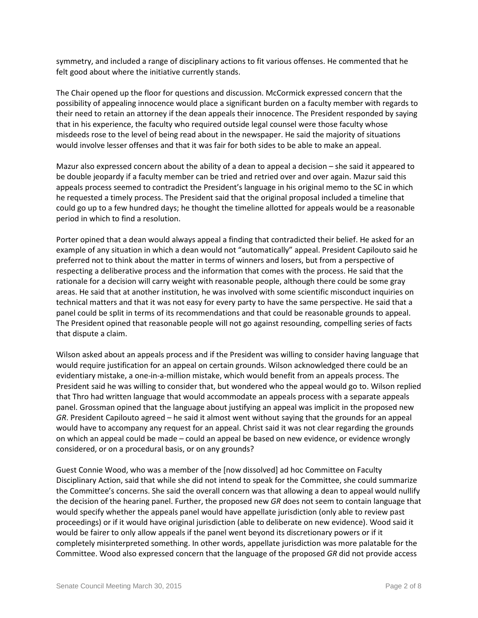symmetry, and included a range of disciplinary actions to fit various offenses. He commented that he felt good about where the initiative currently stands.

The Chair opened up the floor for questions and discussion. McCormick expressed concern that the possibility of appealing innocence would place a significant burden on a faculty member with regards to their need to retain an attorney if the dean appeals their innocence. The President responded by saying that in his experience, the faculty who required outside legal counsel were those faculty whose misdeeds rose to the level of being read about in the newspaper. He said the majority of situations would involve lesser offenses and that it was fair for both sides to be able to make an appeal.

Mazur also expressed concern about the ability of a dean to appeal a decision – she said it appeared to be double jeopardy if a faculty member can be tried and retried over and over again. Mazur said this appeals process seemed to contradict the President's language in his original memo to the SC in which he requested a timely process. The President said that the original proposal included a timeline that could go up to a few hundred days; he thought the timeline allotted for appeals would be a reasonable period in which to find a resolution.

Porter opined that a dean would always appeal a finding that contradicted their belief. He asked for an example of any situation in which a dean would not "automatically" appeal. President Capilouto said he preferred not to think about the matter in terms of winners and losers, but from a perspective of respecting a deliberative process and the information that comes with the process. He said that the rationale for a decision will carry weight with reasonable people, although there could be some gray areas. He said that at another institution, he was involved with some scientific misconduct inquiries on technical matters and that it was not easy for every party to have the same perspective. He said that a panel could be split in terms of its recommendations and that could be reasonable grounds to appeal. The President opined that reasonable people will not go against resounding, compelling series of facts that dispute a claim.

Wilson asked about an appeals process and if the President was willing to consider having language that would require justification for an appeal on certain grounds. Wilson acknowledged there could be an evidentiary mistake, a one-in-a-million mistake, which would benefit from an appeals process. The President said he was willing to consider that, but wondered who the appeal would go to. Wilson replied that Thro had written language that would accommodate an appeals process with a separate appeals panel. Grossman opined that the language about justifying an appeal was implicit in the proposed new *GR*. President Capilouto agreed – he said it almost went without saying that the grounds for an appeal would have to accompany any request for an appeal. Christ said it was not clear regarding the grounds on which an appeal could be made – could an appeal be based on new evidence, or evidence wrongly considered, or on a procedural basis, or on any grounds?

Guest Connie Wood, who was a member of the [now dissolved] ad hoc Committee on Faculty Disciplinary Action, said that while she did not intend to speak for the Committee, she could summarize the Committee's concerns. She said the overall concern was that allowing a dean to appeal would nullify the decision of the hearing panel. Further, the proposed new *GR* does not seem to contain language that would specify whether the appeals panel would have appellate jurisdiction (only able to review past proceedings) or if it would have original jurisdiction (able to deliberate on new evidence). Wood said it would be fairer to only allow appeals if the panel went beyond its discretionary powers or if it completely misinterpreted something. In other words, appellate jurisdiction was more palatable for the Committee. Wood also expressed concern that the language of the proposed *GR* did not provide access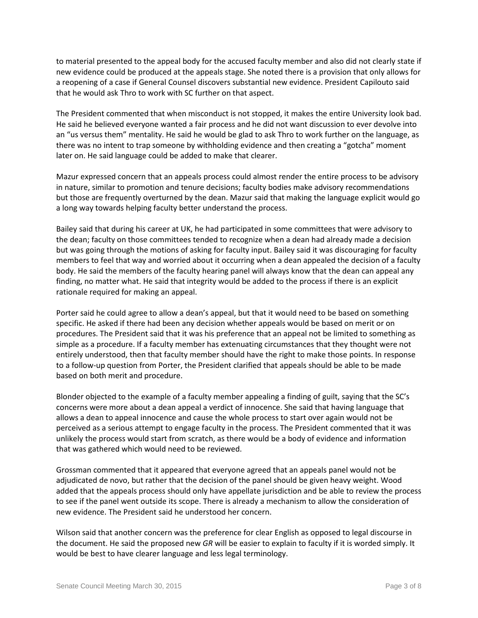to material presented to the appeal body for the accused faculty member and also did not clearly state if new evidence could be produced at the appeals stage. She noted there is a provision that only allows for a reopening of a case if General Counsel discovers substantial new evidence. President Capilouto said that he would ask Thro to work with SC further on that aspect.

The President commented that when misconduct is not stopped, it makes the entire University look bad. He said he believed everyone wanted a fair process and he did not want discussion to ever devolve into an "us versus them" mentality. He said he would be glad to ask Thro to work further on the language, as there was no intent to trap someone by withholding evidence and then creating a "gotcha" moment later on. He said language could be added to make that clearer.

Mazur expressed concern that an appeals process could almost render the entire process to be advisory in nature, similar to promotion and tenure decisions; faculty bodies make advisory recommendations but those are frequently overturned by the dean. Mazur said that making the language explicit would go a long way towards helping faculty better understand the process.

Bailey said that during his career at UK, he had participated in some committees that were advisory to the dean; faculty on those committees tended to recognize when a dean had already made a decision but was going through the motions of asking for faculty input. Bailey said it was discouraging for faculty members to feel that way and worried about it occurring when a dean appealed the decision of a faculty body. He said the members of the faculty hearing panel will always know that the dean can appeal any finding, no matter what. He said that integrity would be added to the process if there is an explicit rationale required for making an appeal.

Porter said he could agree to allow a dean's appeal, but that it would need to be based on something specific. He asked if there had been any decision whether appeals would be based on merit or on procedures. The President said that it was his preference that an appeal not be limited to something as simple as a procedure. If a faculty member has extenuating circumstances that they thought were not entirely understood, then that faculty member should have the right to make those points. In response to a follow-up question from Porter, the President clarified that appeals should be able to be made based on both merit and procedure.

Blonder objected to the example of a faculty member appealing a finding of guilt, saying that the SC's concerns were more about a dean appeal a verdict of innocence. She said that having language that allows a dean to appeal innocence and cause the whole process to start over again would not be perceived as a serious attempt to engage faculty in the process. The President commented that it was unlikely the process would start from scratch, as there would be a body of evidence and information that was gathered which would need to be reviewed.

Grossman commented that it appeared that everyone agreed that an appeals panel would not be adjudicated de novo, but rather that the decision of the panel should be given heavy weight. Wood added that the appeals process should only have appellate jurisdiction and be able to review the process to see if the panel went outside its scope. There is already a mechanism to allow the consideration of new evidence. The President said he understood her concern.

Wilson said that another concern was the preference for clear English as opposed to legal discourse in the document. He said the proposed new *GR* will be easier to explain to faculty if it is worded simply. It would be best to have clearer language and less legal terminology.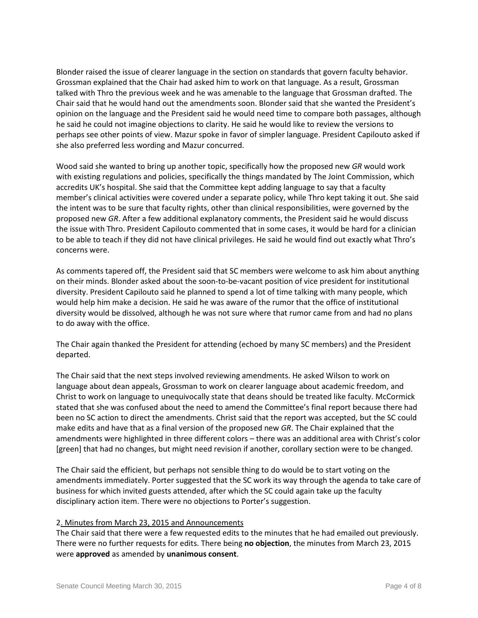Blonder raised the issue of clearer language in the section on standards that govern faculty behavior. Grossman explained that the Chair had asked him to work on that language. As a result, Grossman talked with Thro the previous week and he was amenable to the language that Grossman drafted. The Chair said that he would hand out the amendments soon. Blonder said that she wanted the President's opinion on the language and the President said he would need time to compare both passages, although he said he could not imagine objections to clarity. He said he would like to review the versions to perhaps see other points of view. Mazur spoke in favor of simpler language. President Capilouto asked if she also preferred less wording and Mazur concurred.

Wood said she wanted to bring up another topic, specifically how the proposed new *GR* would work with existing regulations and policies, specifically the things mandated by The Joint Commission, which accredits UK's hospital. She said that the Committee kept adding language to say that a faculty member's clinical activities were covered under a separate policy, while Thro kept taking it out. She said the intent was to be sure that faculty rights, other than clinical responsibilities, were governed by the proposed new *GR*. After a few additional explanatory comments, the President said he would discuss the issue with Thro. President Capilouto commented that in some cases, it would be hard for a clinician to be able to teach if they did not have clinical privileges. He said he would find out exactly what Thro's concerns were.

As comments tapered off, the President said that SC members were welcome to ask him about anything on their minds. Blonder asked about the soon-to-be-vacant position of vice president for institutional diversity. President Capilouto said he planned to spend a lot of time talking with many people, which would help him make a decision. He said he was aware of the rumor that the office of institutional diversity would be dissolved, although he was not sure where that rumor came from and had no plans to do away with the office.

The Chair again thanked the President for attending (echoed by many SC members) and the President departed.

The Chair said that the next steps involved reviewing amendments. He asked Wilson to work on language about dean appeals, Grossman to work on clearer language about academic freedom, and Christ to work on language to unequivocally state that deans should be treated like faculty. McCormick stated that she was confused about the need to amend the Committee's final report because there had been no SC action to direct the amendments. Christ said that the report was accepted, but the SC could make edits and have that as a final version of the proposed new *GR*. The Chair explained that the amendments were highlighted in three different colors – there was an additional area with Christ's color [green] that had no changes, but might need revision if another, corollary section were to be changed.

The Chair said the efficient, but perhaps not sensible thing to do would be to start voting on the amendments immediately. Porter suggested that the SC work its way through the agenda to take care of business for which invited guests attended, after which the SC could again take up the faculty disciplinary action item. There were no objections to Porter's suggestion.

## 2. Minutes from March 23, 2015 and Announcements

The Chair said that there were a few requested edits to the minutes that he had emailed out previously. There were no further requests for edits. There being **no objection**, the minutes from March 23, 2015 were **approved** as amended by **unanimous consent**.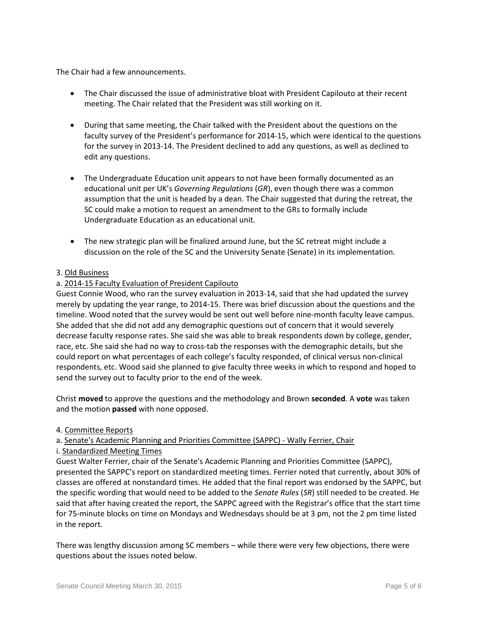The Chair had a few announcements.

- The Chair discussed the issue of administrative bloat with President Capilouto at their recent meeting. The Chair related that the President was still working on it.
- During that same meeting, the Chair talked with the President about the questions on the faculty survey of the President's performance for 2014-15, which were identical to the questions for the survey in 2013-14. The President declined to add any questions, as well as declined to edit any questions.
- The Undergraduate Education unit appears to not have been formally documented as an educational unit per UK's *Governing Regulations* (*GR*), even though there was a common assumption that the unit is headed by a dean. The Chair suggested that during the retreat, the SC could make a motion to request an amendment to the GRs to formally include Undergraduate Education as an educational unit.
- The new strategic plan will be finalized around June, but the SC retreat might include a discussion on the role of the SC and the University Senate (Senate) in its implementation.

## 3. Old Business

### a. 2014-15 Faculty Evaluation of President Capilouto

Guest Connie Wood, who ran the survey evaluation in 2013-14, said that she had updated the survey merely by updating the year range, to 2014-15. There was brief discussion about the questions and the timeline. Wood noted that the survey would be sent out well before nine-month faculty leave campus. She added that she did not add any demographic questions out of concern that it would severely decrease faculty response rates. She said she was able to break respondents down by college, gender, race, etc. She said she had no way to cross-tab the responses with the demographic details, but she could report on what percentages of each college's faculty responded, of clinical versus non-clinical respondents, etc. Wood said she planned to give faculty three weeks in which to respond and hoped to send the survey out to faculty prior to the end of the week.

Christ **moved** to approve the questions and the methodology and Brown **seconded**. A **vote** was taken and the motion **passed** with none opposed.

#### 4. Committee Reports

#### a. Senate's Academic Planning and Priorities Committee (SAPPC) - Wally Ferrier, Chair

#### i. Standardized Meeting Times

Guest Walter Ferrier, chair of the Senate's Academic Planning and Priorities Committee (SAPPC), presented the SAPPC's report on standardized meeting times. Ferrier noted that currently, about 30% of classes are offered at nonstandard times. He added that the final report was endorsed by the SAPPC, but the specific wording that would need to be added to the *Senate Rules* (*SR*) still needed to be created. He said that after having created the report, the SAPPC agreed with the Registrar's office that the start time for 75-minute blocks on time on Mondays and Wednesdays should be at 3 pm, not the 2 pm time listed in the report.

There was lengthy discussion among SC members – while there were very few objections, there were questions about the issues noted below.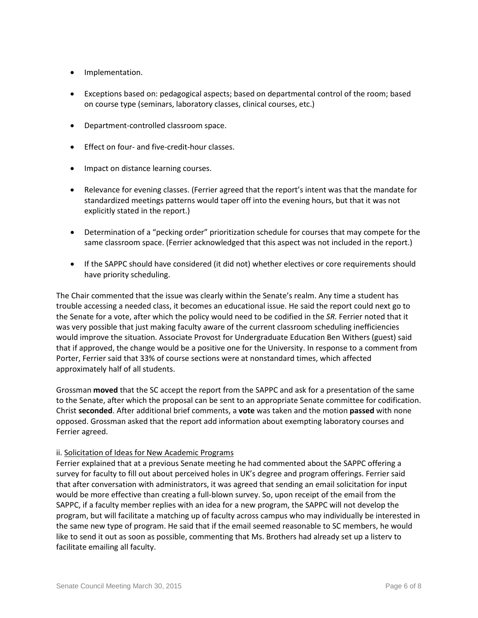- Implementation.
- Exceptions based on: pedagogical aspects; based on departmental control of the room; based on course type (seminars, laboratory classes, clinical courses, etc.)
- Department-controlled classroom space.
- Effect on four- and five-credit-hour classes.
- Impact on distance learning courses.
- Relevance for evening classes. (Ferrier agreed that the report's intent was that the mandate for standardized meetings patterns would taper off into the evening hours, but that it was not explicitly stated in the report.)
- Determination of a "pecking order" prioritization schedule for courses that may compete for the same classroom space. (Ferrier acknowledged that this aspect was not included in the report.)
- If the SAPPC should have considered (it did not) whether electives or core requirements should have priority scheduling.

The Chair commented that the issue was clearly within the Senate's realm. Any time a student has trouble accessing a needed class, it becomes an educational issue. He said the report could next go to the Senate for a vote, after which the policy would need to be codified in the *SR.* Ferrier noted that it was very possible that just making faculty aware of the current classroom scheduling inefficiencies would improve the situation. Associate Provost for Undergraduate Education Ben Withers (guest) said that if approved, the change would be a positive one for the University. In response to a comment from Porter, Ferrier said that 33% of course sections were at nonstandard times, which affected approximately half of all students.

Grossman **moved** that the SC accept the report from the SAPPC and ask for a presentation of the same to the Senate, after which the proposal can be sent to an appropriate Senate committee for codification. Christ **seconded**. After additional brief comments, a **vote** was taken and the motion **passed** with none opposed. Grossman asked that the report add information about exempting laboratory courses and Ferrier agreed.

## ii. Solicitation of Ideas for New Academic Programs

Ferrier explained that at a previous Senate meeting he had commented about the SAPPC offering a survey for faculty to fill out about perceived holes in UK's degree and program offerings. Ferrier said that after conversation with administrators, it was agreed that sending an email solicitation for input would be more effective than creating a full-blown survey. So, upon receipt of the email from the SAPPC, if a faculty member replies with an idea for a new program, the SAPPC will not develop the program, but will facilitate a matching up of faculty across campus who may individually be interested in the same new type of program. He said that if the email seemed reasonable to SC members, he would like to send it out as soon as possible, commenting that Ms. Brothers had already set up a listerv to facilitate emailing all faculty.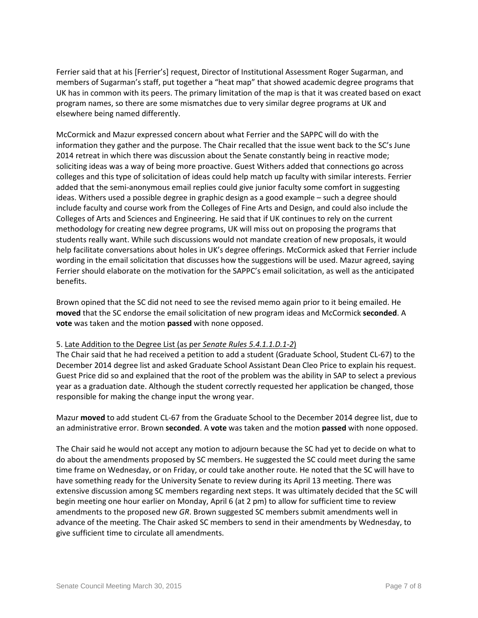Ferrier said that at his [Ferrier's] request, Director of Institutional Assessment Roger Sugarman, and members of Sugarman's staff, put together a "heat map" that showed academic degree programs that UK has in common with its peers. The primary limitation of the map is that it was created based on exact program names, so there are some mismatches due to very similar degree programs at UK and elsewhere being named differently.

McCormick and Mazur expressed concern about what Ferrier and the SAPPC will do with the information they gather and the purpose. The Chair recalled that the issue went back to the SC's June 2014 retreat in which there was discussion about the Senate constantly being in reactive mode; soliciting ideas was a way of being more proactive. Guest Withers added that connections go across colleges and this type of solicitation of ideas could help match up faculty with similar interests. Ferrier added that the semi-anonymous email replies could give junior faculty some comfort in suggesting ideas. Withers used a possible degree in graphic design as a good example – such a degree should include faculty and course work from the Colleges of Fine Arts and Design, and could also include the Colleges of Arts and Sciences and Engineering. He said that if UK continues to rely on the current methodology for creating new degree programs, UK will miss out on proposing the programs that students really want. While such discussions would not mandate creation of new proposals, it would help facilitate conversations about holes in UK's degree offerings. McCormick asked that Ferrier include wording in the email solicitation that discusses how the suggestions will be used. Mazur agreed, saying Ferrier should elaborate on the motivation for the SAPPC's email solicitation, as well as the anticipated benefits.

Brown opined that the SC did not need to see the revised memo again prior to it being emailed. He **moved** that the SC endorse the email solicitation of new program ideas and McCormick **seconded**. A **vote** was taken and the motion **passed** with none opposed.

## 5. Late Addition to the Degree List (as per *Senate Rules 5.4.1.1.D.1-2*)

The Chair said that he had received a petition to add a student (Graduate School, Student CL-67) to the December 2014 degree list and asked Graduate School Assistant Dean Cleo Price to explain his request. Guest Price did so and explained that the root of the problem was the ability in SAP to select a previous year as a graduation date. Although the student correctly requested her application be changed, those responsible for making the change input the wrong year.

Mazur **moved** to add student CL-67 from the Graduate School to the December 2014 degree list, due to an administrative error. Brown **seconded**. A **vote** was taken and the motion **passed** with none opposed.

The Chair said he would not accept any motion to adjourn because the SC had yet to decide on what to do about the amendments proposed by SC members. He suggested the SC could meet during the same time frame on Wednesday, or on Friday, or could take another route. He noted that the SC will have to have something ready for the University Senate to review during its April 13 meeting. There was extensive discussion among SC members regarding next steps. It was ultimately decided that the SC will begin meeting one hour earlier on Monday, April 6 (at 2 pm) to allow for sufficient time to review amendments to the proposed new *GR*. Brown suggested SC members submit amendments well in advance of the meeting. The Chair asked SC members to send in their amendments by Wednesday, to give sufficient time to circulate all amendments.